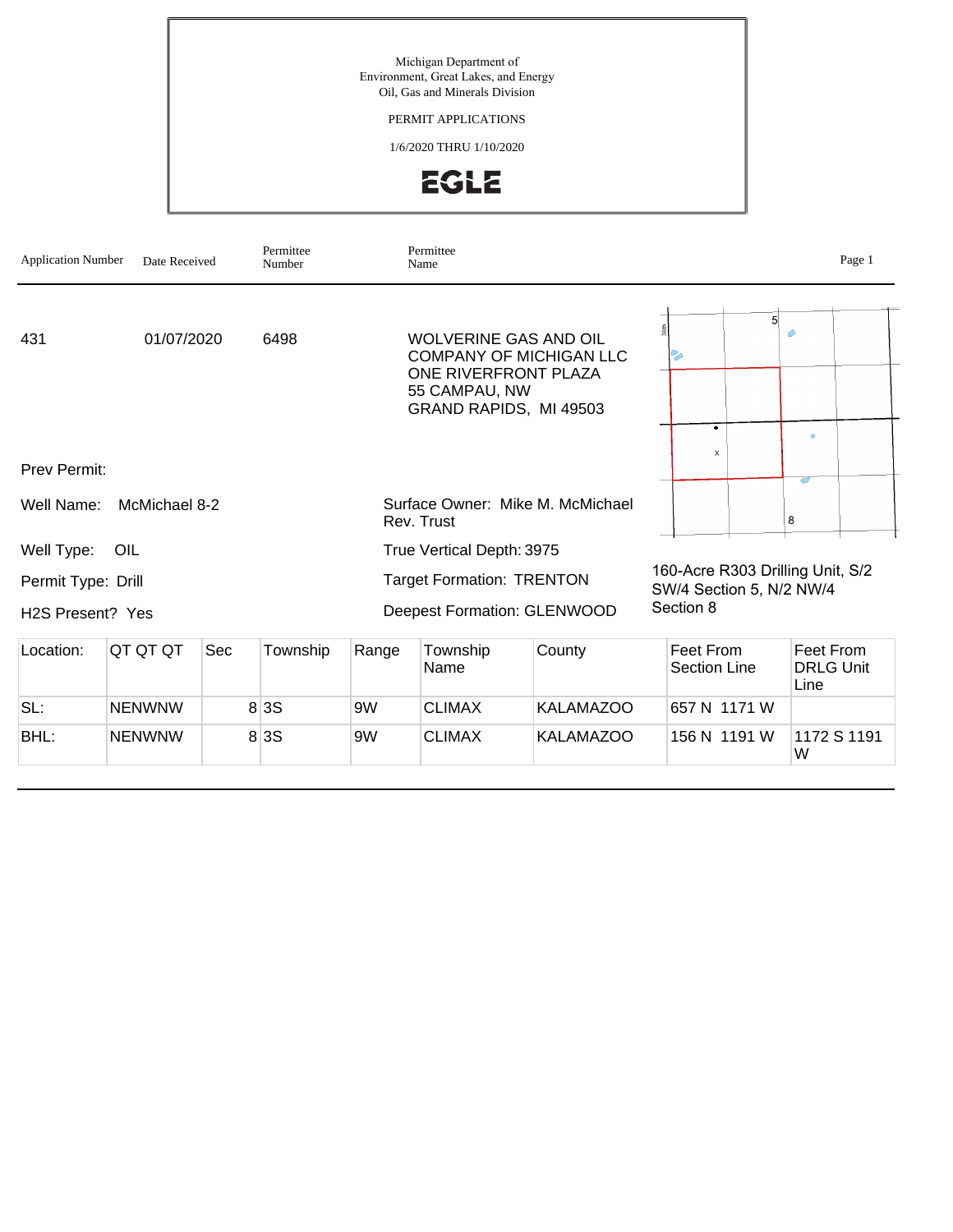Michigan Department of Environment, Great Lakes, and Energy Oil, Gas and Minerals Division

PERMIT APPLICATIONS

1/6/2020 THRU 1/10/2020



| <b>Application Number</b>     | Date Received |     | Permittee<br>Number |                | Permittee<br>Name                                                                               |                                    |           |                                                              |                                       | Page 1      |
|-------------------------------|---------------|-----|---------------------|----------------|-------------------------------------------------------------------------------------------------|------------------------------------|-----------|--------------------------------------------------------------|---------------------------------------|-------------|
| 431                           | 01/07/2020    |     | 6498                |                | <b>WOLVERINE GAS AND OIL</b><br>ONE RIVERFRONT PLAZA<br>55 CAMPAU, NW<br>GRAND RAPIDS, MI 49503 | <b>COMPANY OF MICHIGAN LLC</b>     |           | 5 <sup>1</sup>                                               | ♦                                     |             |
| Prev Permit:                  |               |     |                     |                |                                                                                                 |                                    |           | ۰<br>$\mathsf{x}$                                            | $\circ$                               |             |
|                               |               |     |                     |                |                                                                                                 |                                    |           |                                                              | ਨ                                     |             |
| Well Name:                    | McMichael 8-2 |     |                     |                | Rev. Trust                                                                                      | Surface Owner: Mike M. McMichael   |           |                                                              | 8                                     |             |
| Well Type:                    | OIL           |     |                     |                | True Vertical Depth: 3975                                                                       |                                    |           |                                                              |                                       |             |
| Permit Type: Drill            |               |     |                     |                | <b>Target Formation: TRENTON</b>                                                                |                                    |           | 160-Acre R303 Drilling Unit, S/2<br>SW/4 Section 5, N/2 NW/4 |                                       |             |
| H <sub>2</sub> S Present? Yes |               |     |                     |                |                                                                                                 | <b>Deepest Formation: GLENWOOD</b> | Section 8 |                                                              |                                       |             |
| Location:                     | QT QT QT      | Sec | Township            | Range          | Township<br>Name                                                                                | County                             |           | Feet From<br>Section Line                                    | Feet From<br><b>DRLG Unit</b><br>Line |             |
| SL:                           | <b>NENWNW</b> |     | 8 3 S               | 9 <sub>W</sub> | <b>CLIMAX</b>                                                                                   | <b>KALAMAZOO</b>                   |           | 657 N 1171 W                                                 |                                       |             |
| BHL:                          | <b>NENWNW</b> |     | 8 3 S               | 9W             | <b>CLIMAX</b>                                                                                   | <b>KALAMAZOO</b>                   |           | 156 N 1191 W                                                 |                                       | 1172 S 1191 |

W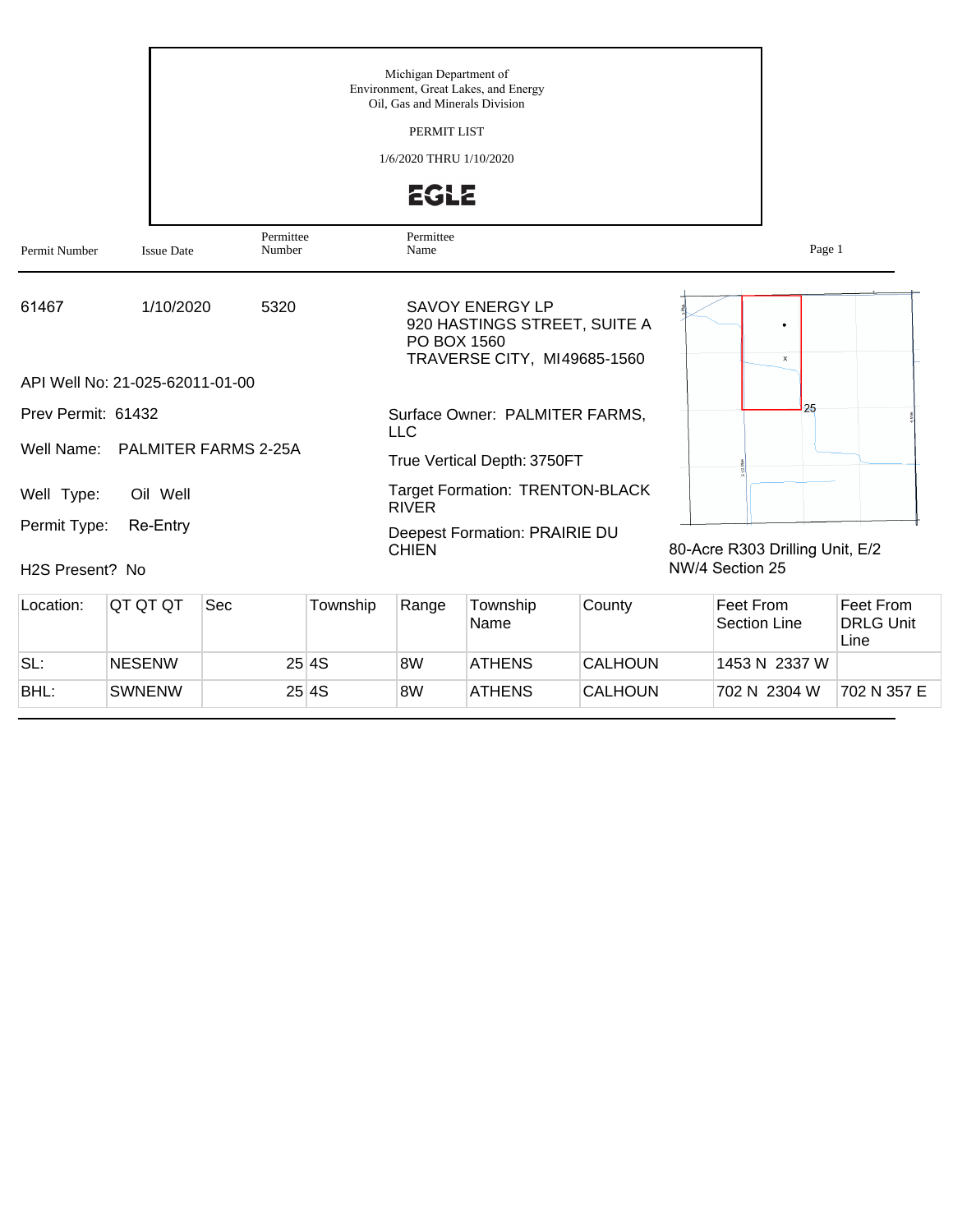|                                              |                                 |                      |          | Michigan Department of<br>Oil, Gas and Minerals Division<br>PERMIT LIST | Environment, Great Lakes, and Energy                                           |        |                                                    |        |           |
|----------------------------------------------|---------------------------------|----------------------|----------|-------------------------------------------------------------------------|--------------------------------------------------------------------------------|--------|----------------------------------------------------|--------|-----------|
|                                              |                                 |                      |          | 1/6/2020 THRU 1/10/2020<br><b>EGLE</b>                                  |                                                                                |        |                                                    |        |           |
| Permit Number                                | <b>Issue Date</b>               | Permittee<br>Number  |          | Permittee<br>Name                                                       |                                                                                |        |                                                    | Page 1 |           |
| 61467                                        | 1/10/2020                       | 5320                 |          | PO BOX 1560                                                             | SAVOY ENERGY LP<br>920 HASTINGS STREET, SUITE A<br>TRAVERSE CITY, MI49685-1560 |        |                                                    | x      |           |
|                                              | API Well No: 21-025-62011-01-00 |                      |          |                                                                         |                                                                                |        |                                                    |        |           |
| Prev Permit: 61432                           |                                 |                      |          | <b>LLC</b>                                                              | Surface Owner: PALMITER FARMS,                                                 |        |                                                    | 25     |           |
| Well Name:                                   |                                 | PALMITER FARMS 2-25A |          |                                                                         | True Vertical Depth: 3750FT                                                    |        |                                                    |        |           |
| Well Type:                                   | Oil Well                        |                      |          | <b>RIVER</b>                                                            | <b>Target Formation: TRENTON-BLACK</b>                                         |        |                                                    |        |           |
| Permit Type:<br>H <sub>2</sub> S Present? No | Re-Entry                        |                      |          | <b>CHIEN</b>                                                            | Deepest Formation: PRAIRIE DU                                                  |        | 80-Acre R303 Drilling Unit, E/2<br>NW/4 Section 25 |        |           |
| Location:                                    | OT OT OT                        | <b>Sec</b>           | Township | Range                                                                   | Township                                                                       | County | Feet From                                          |        | Feet From |

| Location: | IQT QT QT     | Sec | Township | Range | Township<br><b>Name</b> | County  | Feet From<br>Section Line | Feet From<br><b>DRLG Unit</b><br>Line |
|-----------|---------------|-----|----------|-------|-------------------------|---------|---------------------------|---------------------------------------|
| SL:       | <b>NESENW</b> |     | 25 4 S   | 8W    | <b>ATHENS</b>           | CALHOUN | 1453 N 2337 W             |                                       |
| BHL:      | <b>SWNENW</b> |     | 25 4S    | 8W    | <b>ATHENS</b>           | CALHOUN | 702 N 2304 W              | 702 N 357 E                           |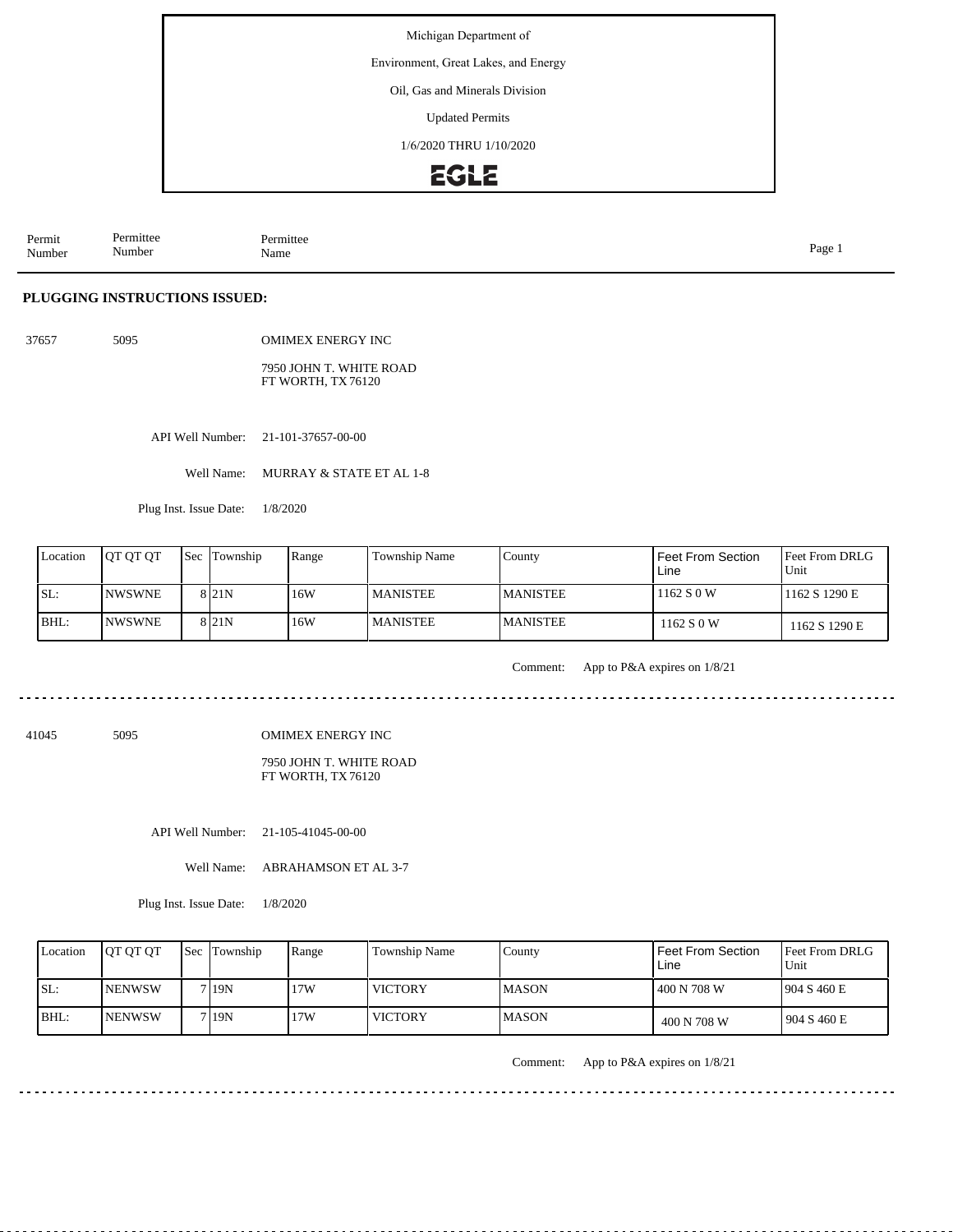Environment, Great Lakes, and Energy

Oil, Gas and Minerals Division

Updated Permits

1/6/2020 THRU 1/10/2020

# EGLE

Permit Number Permittee Number Permittee<br>Name Name Page 1

# **PLUGGING INSTRUCTIONS ISSUED:**

37657 5095 OMIMEX ENERGY INC

> 7950 JOHN T. WHITE ROAD FT WORTH, TX 76120

API Well Number: 21-101-37657-00-00

Well Name: MURRAY & STATE ET AL 1-8

Plug Inst. Issue Date: 1/8/2020

| Location | <b>OT OT OT</b> | <b>Sec</b> Township | Range | Township Name   | County          | l Feet From Section.<br>Line | <b>IFeet From DRLG</b><br>Unit |
|----------|-----------------|---------------------|-------|-----------------|-----------------|------------------------------|--------------------------------|
| SL:      | <b>INWSWNE</b>  | 8 <sub>21N</sub>    | 16W   | <b>MANISTEE</b> | <b>MANISTEE</b> | 1162 S 0 W                   | 1162 S 1290 E                  |
| BHL:     | <b>INWSWNE</b>  | 8 <sub>121</sub> N  | 16W   | <b>MANISTEE</b> | <b>MANISTEE</b> | 1162 S 0 W                   | 1162 S 1290 E                  |

Comment: App to P&A expires on 1/8/21

41045 5095

OMIMEX ENERGY INC

7950 JOHN T. WHITE ROAD FT WORTH, TX 76120

API Well Number: 21-105-41045-00-00

Well Name: ABRAHAMSON ET AL 3-7

Plug Inst. Issue Date: 1/8/2020

| Location | <b>OT OT OT</b> | <b>Sec</b> Township | Range | <b>Township Name</b> | County       | <b>Feet From Section</b><br>Line | Feet From DRLG<br>Unit |
|----------|-----------------|---------------------|-------|----------------------|--------------|----------------------------------|------------------------|
| ISL:     | <b>NENWSW</b>   | 7 I 19 N            | 7W    | <b>VICTORY</b>       | IMASON       | 400 N 708 W                      | 1904 S 460 E           |
| IBHL:    | <b>INENWSW</b>  | 7 I 19 N            | 7W    | <b>VICTORY</b>       | <b>MASON</b> | 400 N 708 W                      | 1904 S 460 E           |

Comment: App to P&A expires on 1/8/21

<u>. . . . . . . .</u>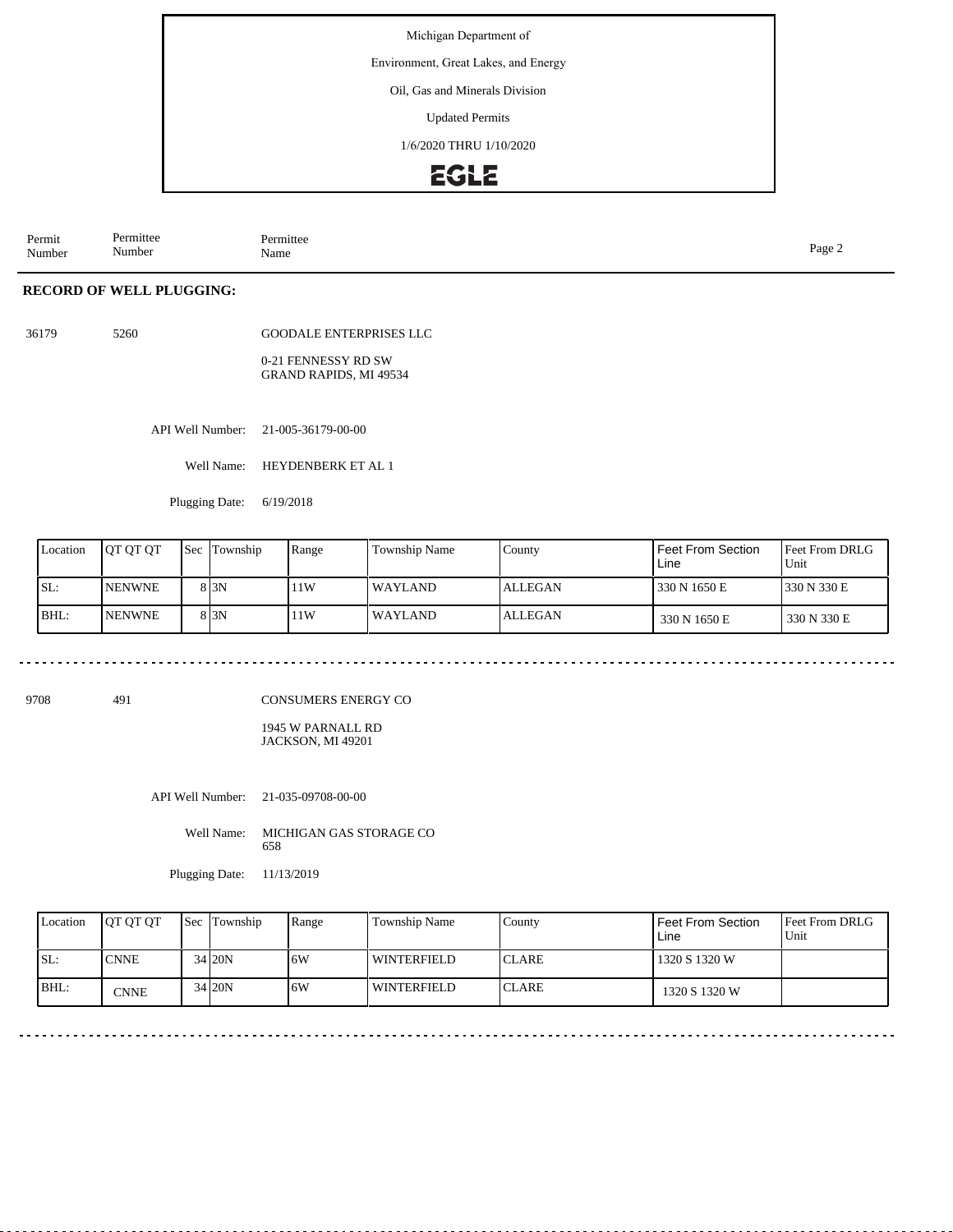## Environment, Great Lakes, and Energy

#### Oil, Gas and Minerals Division

Updated Permits

1/6/2020 THRU 1/10/2020

# EGLE

Permit Number Permittee Number Permittee<br>Name Page 2<br>Name

## **RECORD OF WELL PLUGGING:**

36179 5260

GOODALE ENTERPRISES LLC

0-21 FENNESSY RD SW GRAND RAPIDS, MI 49534

API Well Number: 21-005-36179-00-00

Well Name: HEYDENBERK ET AL 1

Plugging Date: 6/19/2018

| Location | <b>JOT OT OT</b> | <b>Sec</b> Township | Range | <b>Township Name</b> | County         | Feet From Section<br>Line | Feet From DRLG<br>Unit |
|----------|------------------|---------------------|-------|----------------------|----------------|---------------------------|------------------------|
| SL:      | <b>INENWNE</b>   | 8 3 N               | 11W   | WAYLAND              | <b>ALLEGAN</b> | 330 N 1650 E              | 1330 N 330 E           |
| BHL:     | <b>NENWNE</b>    | 8 3 N               | 11W   | WAYLAND              | <b>ALLEGAN</b> | 330 N 1650 E              | 330 N 330 E            |

9708 491

CONSUMERS ENERGY CO

1945 W PARNALL RD JACKSON, MI 49201

API Well Number: 21-035-09708-00-00

Well Name: MICHIGAN GAS STORAGE CO 658

Plugging Date: 11/13/2019

| Location | <b>IOT OT OT</b> | <b>Sec Township</b> | Range | Township Name      | Countv        | <b>Feet From Section</b><br>Line | <b>Feet From DRLG</b><br>Unit |
|----------|------------------|---------------------|-------|--------------------|---------------|----------------------------------|-------------------------------|
| ISL:     | <b>CNNE</b>      | 34 20N              | 16W   | WINTERFIELD        | <b>ICLARE</b> | 1320 S 1320 W                    |                               |
| BHL:     | <b>CNNE</b>      | 34 20N              | 16W   | <b>WINTERFIELD</b> | <b>ICLARE</b> | 1320 S 1320 W                    |                               |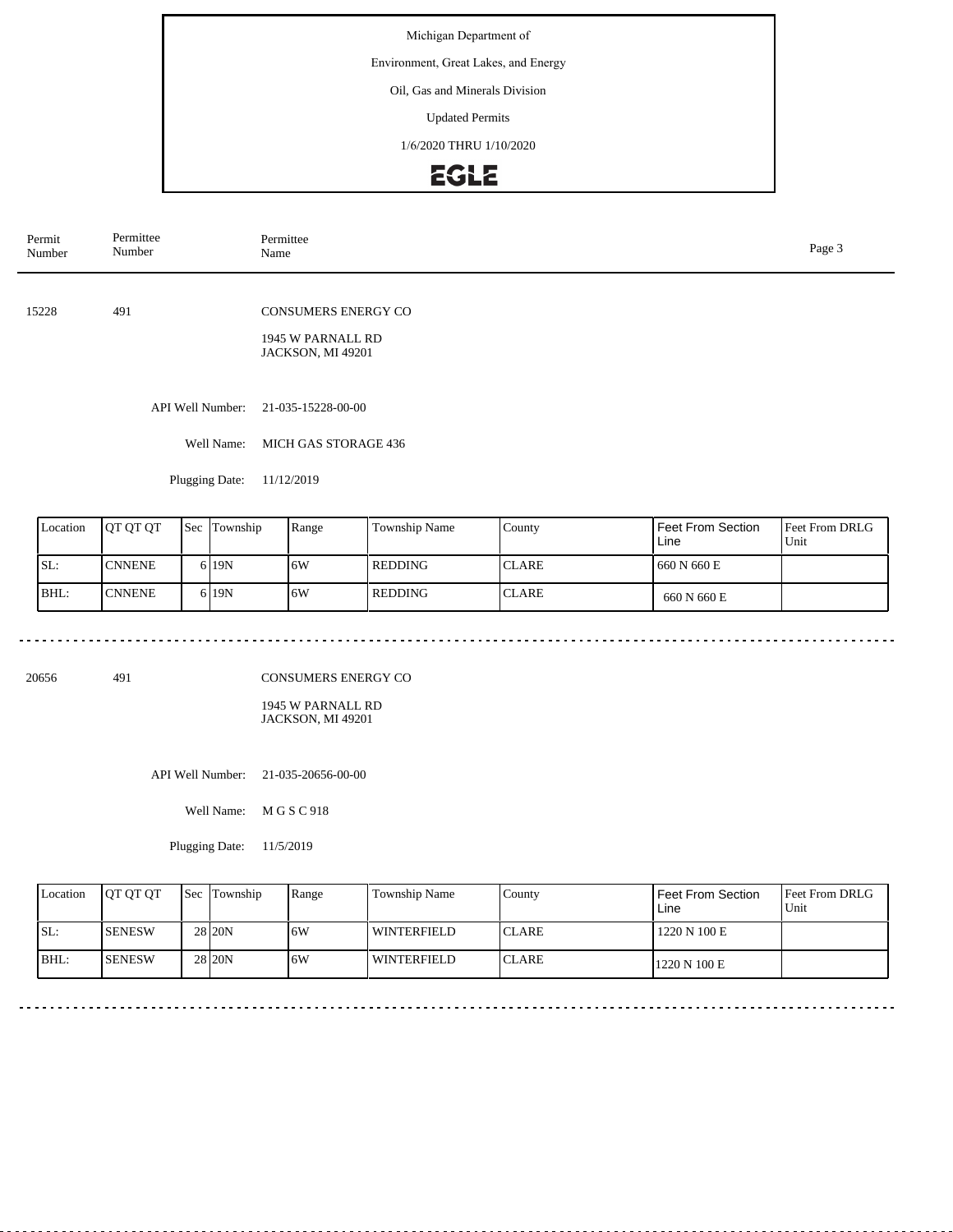## Environment, Great Lakes, and Energy

## Oil, Gas and Minerals Division

Updated Permits

1/6/2020 THRU 1/10/2020

# **EGLE**

| Permit<br>Number | Permittee<br>Number | Permittee<br>Name                                                    | Page 3 |
|------------------|---------------------|----------------------------------------------------------------------|--------|
| 15228            | 491                 | <b>CONSUMERS ENERGY CO</b><br>1945 W PARNALL RD<br>JACKSON, MI 49201 |        |
|                  | API Well Number:    | 21-035-15228-00-00                                                   |        |
|                  | Well Name:          | MICH GAS STORAGE 436                                                 |        |
|                  | Plugging Date:      | 11/12/2019                                                           |        |
|                  |                     |                                                                      |        |

| Location | <b>IOT OT OT</b> | <b>Sec Township</b> | Range | <b>Township Name</b> | Countv       | Feet From Section<br>Line | <b>Feet From DRLG</b><br>Unit |
|----------|------------------|---------------------|-------|----------------------|--------------|---------------------------|-------------------------------|
| SL:      | <b>CNNENE</b>    | 6 <sub>19</sub> N   | 16W   | <b>REDDING</b>       | <b>CLARE</b> | 1660 N 660 E              |                               |
| IBHL:    | <b>CNNENE</b>    | 6 <sub>19</sub> N   | 16W   | <b>REDDING</b>       | <b>CLARE</b> | 660 N 660 E               |                               |

20656 491

CONSUMERS ENERGY CO

1945 W PARNALL RD JACKSON, MI 49201

API Well Number: 21-035-20656-00-00

Well Name: M G S C 918

Plugging Date: 11/5/2019

<u>. . . . . . . .</u>

| Location | <b>OT OT OT</b> | <b>Sec</b> Township | Range | Township Name      | Countv        | Feet From Section<br>Line | <b>Feet From DRLG</b><br>Unit |
|----------|-----------------|---------------------|-------|--------------------|---------------|---------------------------|-------------------------------|
| SL:      | <b>SENESW</b>   | 28 <sub>120</sub> N | 6W    | WINTERFIELD        | <b>ICLARE</b> | 1220 N 100 E              |                               |
| BHL:     | <b>SENESW</b>   | 28 <sub>120</sub> N | 6W    | <b>WINTERFIELD</b> | <b>ICLARE</b> | 1220 N 100 E              |                               |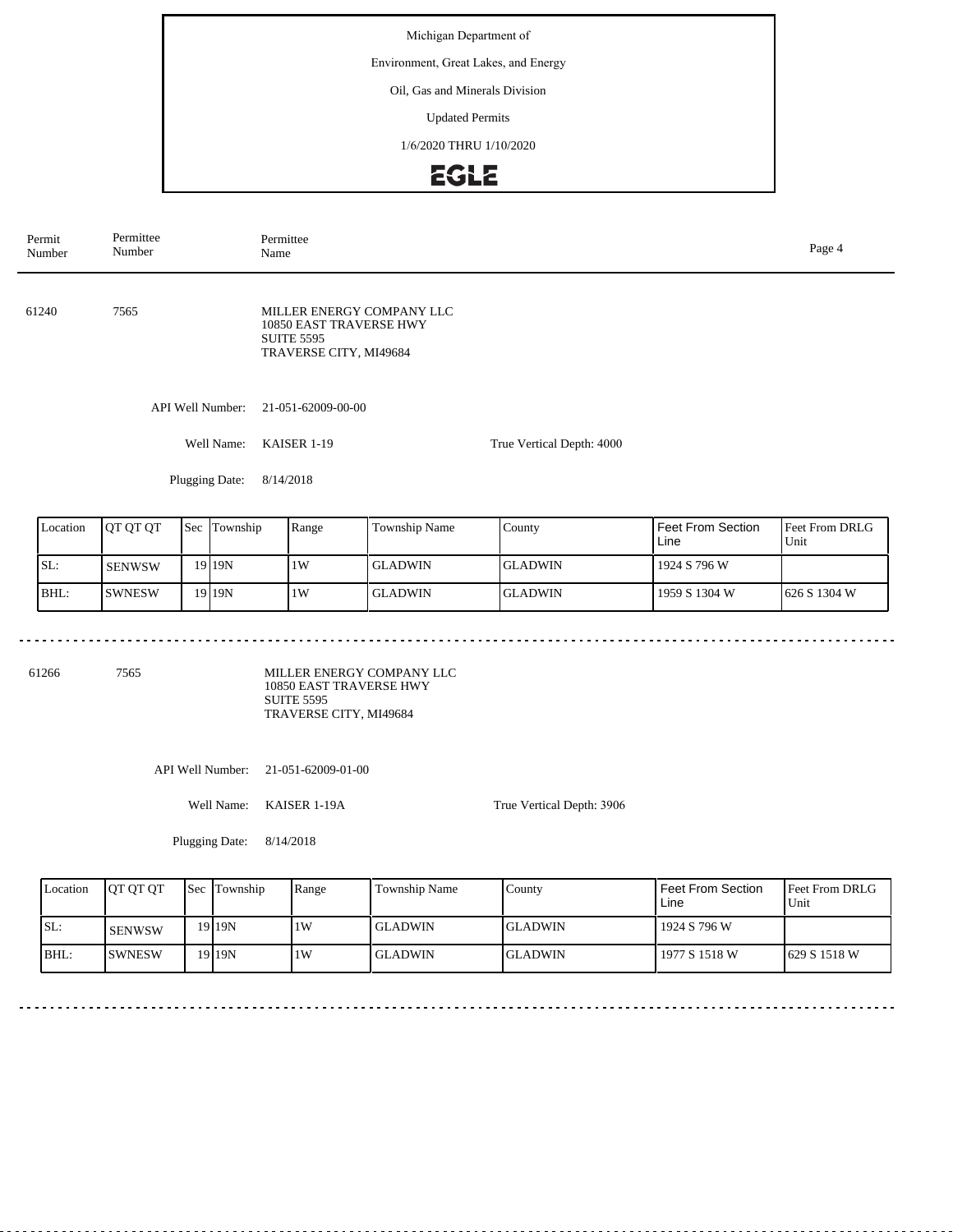## Environment, Great Lakes, and Energy

### Oil, Gas and Minerals Division

Updated Permits

1/6/2020 THRU 1/10/2020

# **EGLE**

| Permit<br>Number | Permittee<br>Number | Permittee<br>Name                                                                                   |                           | Page 4 |
|------------------|---------------------|-----------------------------------------------------------------------------------------------------|---------------------------|--------|
| 61240            | 7565                | MILLER ENERGY COMPANY LLC<br>10850 EAST TRAVERSE HWY<br><b>SUITE 5595</b><br>TRAVERSE CITY, MI49684 |                           |        |
|                  | API Well Number:    | 21-051-62009-00-00                                                                                  |                           |        |
|                  | Well Name:          | KAISER 1-19                                                                                         | True Vertical Depth: 4000 |        |
|                  | Plugging Date:      | 8/14/2018                                                                                           |                           |        |

| Location | IOT OT OT     | <b>Sec</b> | Township  | Range | Township Name | County         | Feet From Section<br>Line | <b>Feet From DRLG</b><br>Unit |
|----------|---------------|------------|-----------|-------|---------------|----------------|---------------------------|-------------------------------|
| ISL:     | <b>SENWSW</b> |            | 19 I 19 N | 1W    | l GLADWIN-    | IGLADWIN       | 1924 S 796 W              |                               |
| BHL:     | <b>SWNESW</b> |            | 19 I 19 N | 1W    | l GLADWIN     | <b>GLADWIN</b> | 1959 S 1304 W             | $1626 S$ 1304 W               |

61266 7565

MILLER ENERGY COMPANY LLC 10850 EAST TRAVERSE HWY SUITE 5595 TRAVERSE CITY, MI49684

API Well Number: 21-051-62009-01-00

Well Name: KAISER 1-19A

Plugging Date: 8/14/2018

True Vertical Depth: 3906

| Location | <b>OT OT OT</b> | Sec Township | Range | Township Name  | County   | l Feet From Section<br>Line | <b>Feet From DRLG</b><br>Unit |
|----------|-----------------|--------------|-------|----------------|----------|-----------------------------|-------------------------------|
| SL:      | <b>SENWSW</b>   | 19119N       | 1W    | <b>GLADWIN</b> | IGLADWIN | l 1924 S 796 W              |                               |
| IBHL:    | <b>ISWNESW</b>  | 19119N       | 1W    | <b>GLADWIN</b> | IGLADWIN | l 1977 S 1518 W             | 1629 S 1518 W                 |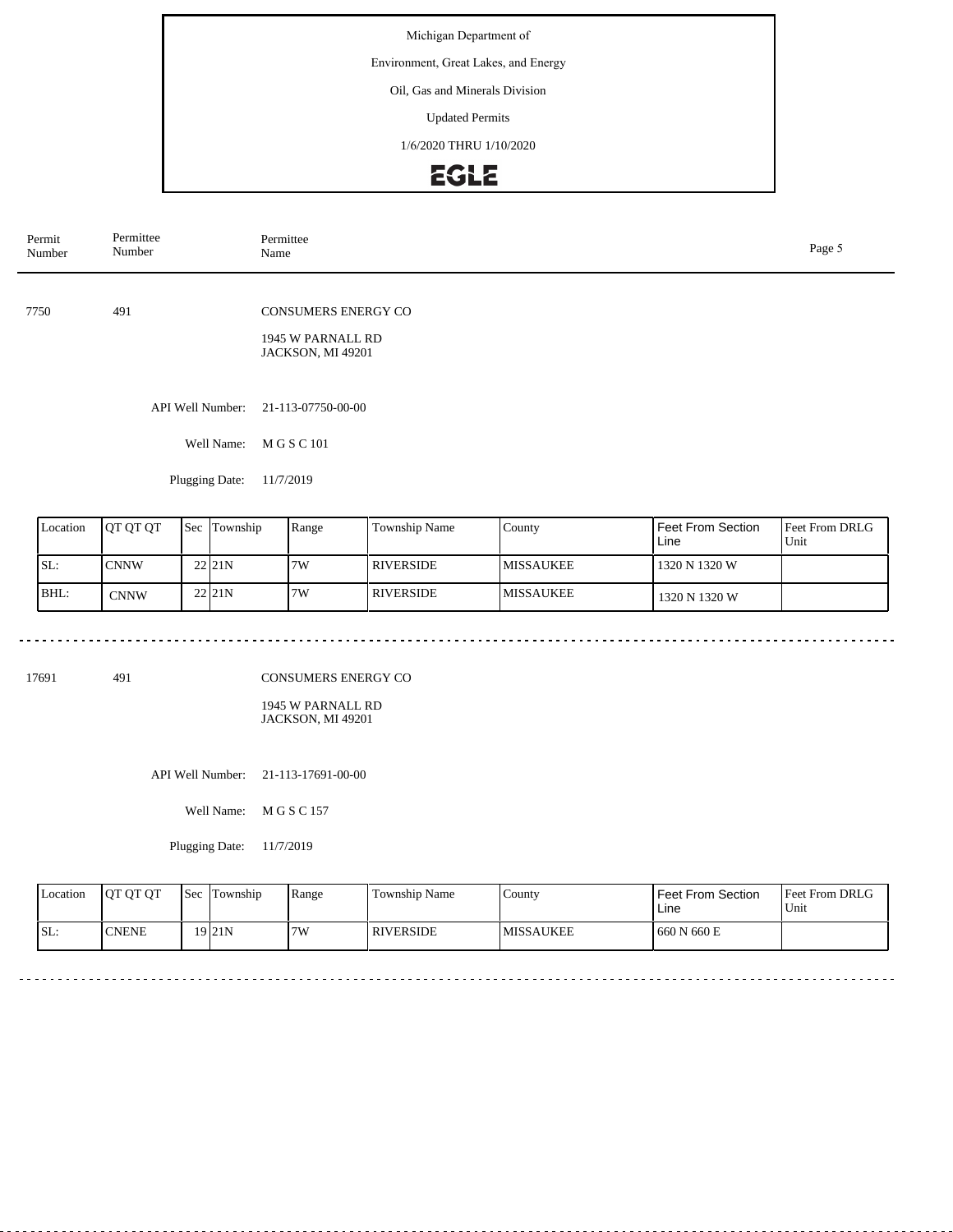# Environment, Great Lakes, and Energy

## Oil, Gas and Minerals Division

Updated Permits

1/6/2020 THRU 1/10/2020

# **EGLE**

| Permit<br>Number | Permittee<br>Number | Permittee<br>Name                                                    | Page 5 |
|------------------|---------------------|----------------------------------------------------------------------|--------|
| 7750             | 491                 | CONSUMERS ENERGY CO<br>1945 W PARNALL RD<br><b>JACKSON, MI 49201</b> |        |
|                  | API Well Number:    | 21-113-07750-00-00                                                   |        |
|                  | Well Name:          | M G S C 101                                                          |        |
|                  | Plugging Date:      | 11/7/2019                                                            |        |
|                  |                     |                                                                      |        |

| Location | IOT OT OT   | Sec | Township           | Range | Township Name    | County            | <b>Feet From Section</b><br>Line | <b>Feet From DRLG</b><br>Unit |
|----------|-------------|-----|--------------------|-------|------------------|-------------------|----------------------------------|-------------------------------|
| SL:      | <b>CNNW</b> |     | 22 <sub>11</sub> N | 7W    | <b>RIVERSIDE</b> | <b>IMISSAUKEE</b> | 1320 N 1320 W                    |                               |
| BHL:     | <b>CNNW</b> |     | 22 <sub>11</sub> N | 7W    | <b>RIVERSIDE</b> | <b>IMISSAUKEE</b> | 1320 N 1320 W                    |                               |

 $\cdots$ 

---------

17691 491

CONSUMERS ENERGY CO

1945 W PARNALL RD JACKSON, MI 49201

API Well Number: 21-113-17691-00-00

Well Name: M G S C 157

Plugging Date: 11/7/2019

<u>. . . . . . . .</u>

| Location | <b>OT OT OT</b> | <b>Sec</b> Township | Range | Township Name    | County            | Feet From Section<br>Line | <b>Feet From DRLG</b><br>Unit |
|----------|-----------------|---------------------|-------|------------------|-------------------|---------------------------|-------------------------------|
| ISL:     | <b>CNENE</b>    | 19 <sub>21N</sub>   | 7W    | <b>RIVERSIDE</b> | <b>IMISSAUKEE</b> | 660 N 660 E               |                               |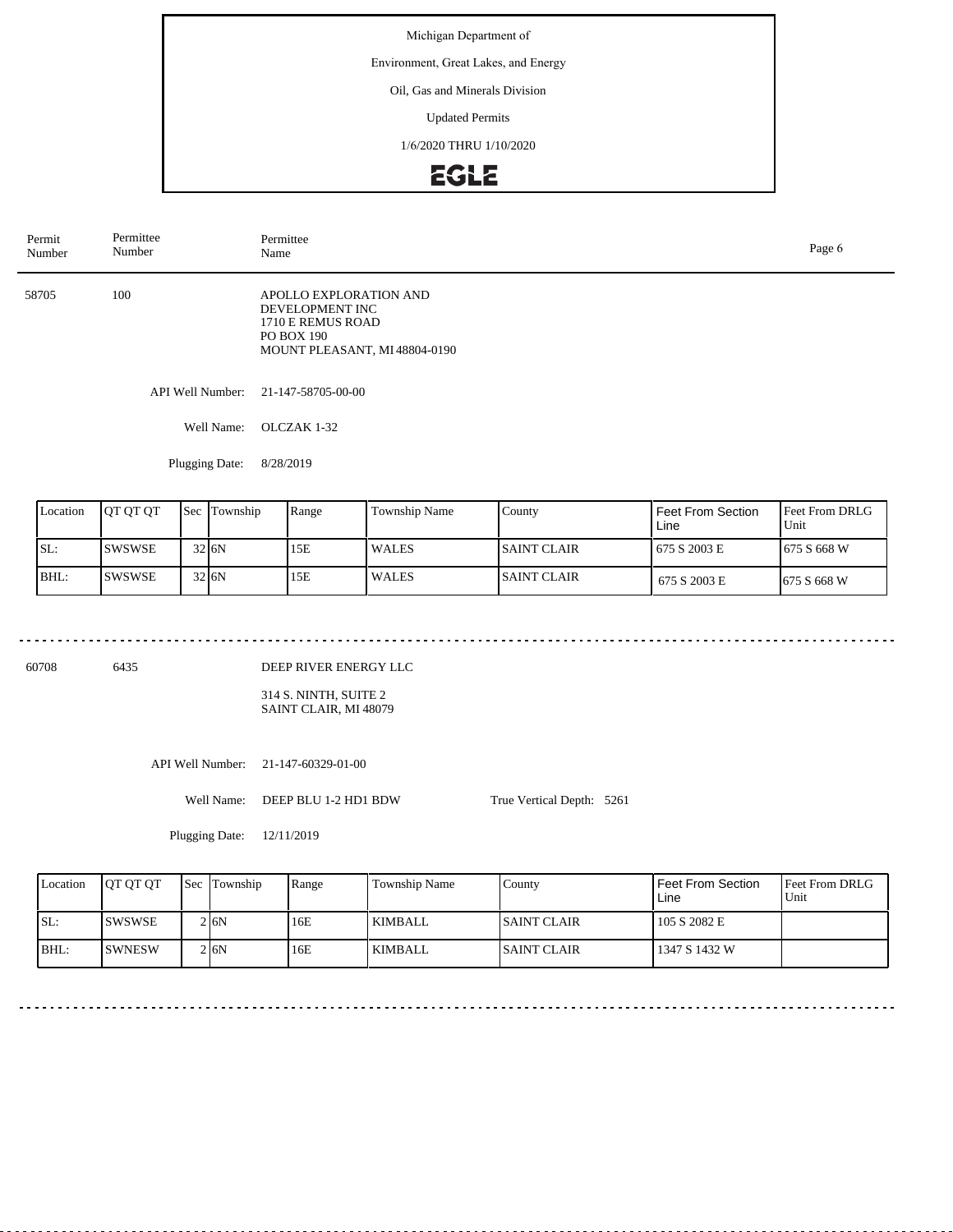# Environment, Great Lakes, and Energy

### Oil, Gas and Minerals Division

Updated Permits

1/6/2020 THRU 1/10/2020

# **EGLE**

| Permit<br>Number | Permittee<br>Number | Permittee<br>Page 6<br>Name                                                                                  |  |  |  |  |
|------------------|---------------------|--------------------------------------------------------------------------------------------------------------|--|--|--|--|
| 58705            | 100                 | APOLLO EXPLORATION AND<br>DEVELOPMENT INC<br>1710 E REMUS ROAD<br>PO BOX 190<br>MOUNT PLEASANT, MI48804-0190 |  |  |  |  |
|                  |                     | API Well Number: 21-147-58705-00-00                                                                          |  |  |  |  |
|                  | Well Name:          | OLCZAK 1-32                                                                                                  |  |  |  |  |

Plugging Date: 8/28/2019

| Location | <b>OT OT OT</b> | <b>Sec Township</b> | Range | <b>Township Name</b> | County       | Feet From Section<br>Line | <b>IFeet From DRLG</b><br>'Unit |
|----------|-----------------|---------------------|-------|----------------------|--------------|---------------------------|---------------------------------|
| SL:      | <b>SWSWSE</b>   | 32 J <sub>6</sub> N | 15E   | WALES                | ISAINT CLAIR | 675 S 2003 E              | 1675 S 668 W                    |
| BHL:     | <b>SWSWSE</b>   | 32 J <sub>6</sub> N | 15E   | <b>WALES</b>         | ISAINT CLAIR | 675 S 2003 E              | <b>1675 S 668 W</b>             |

60708 6435

# DEEP RIVER ENERGY LLC

314 S. NINTH, SUITE 2 SAINT CLAIR, MI 48079

API Well Number: 21-147-60329-01-00

Well Name: DEEP BLU 1-2 HD1 BDW

Plugging Date: 12/11/2019

Feet From DRLG Unit 105 S 2082 E 1347 S 1432 W Feet From Section Line County SAINT CLAIR SAINT CLAIR Location | QT QT QT | Sec | Township | Range | Township Name SL: BHL: SWSWSE SWNESW Sec Township 2 6N  $2|6N$ 16E 16E KIMBALL KIMBALL

True Vertical Depth: 5261